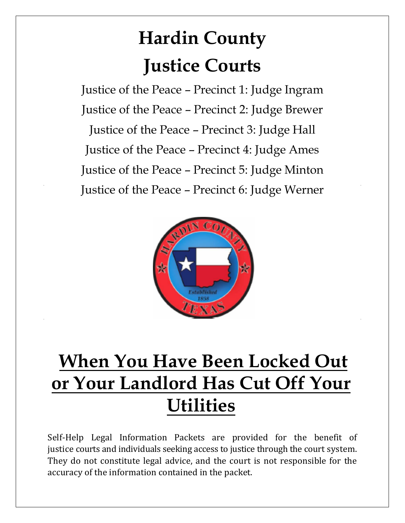# **Hardin County Justice Courts**

Justice of the Peace – Precinct 1: Judge Ingram Justice of the Peace – Precinct 2: Judge Brewer Justice of the Peace – Precinct 3: Judge Hall Justice of the Peace – Precinct 4: Judge Ames Justice of the Peace – Precinct 5: Judge Minton Justice of the Peace – Precinct 6: Judge Werner



## **When You Have Been Locked Out or Your Landlord Has Cut Off Your Utilities**

Self-Help Legal Information Packets are provided for the benefit of justice courts and individuals seeking access to justice through the court system. They do not constitute legal advice, and the court is not responsible for the accuracy of the information contained in the packet.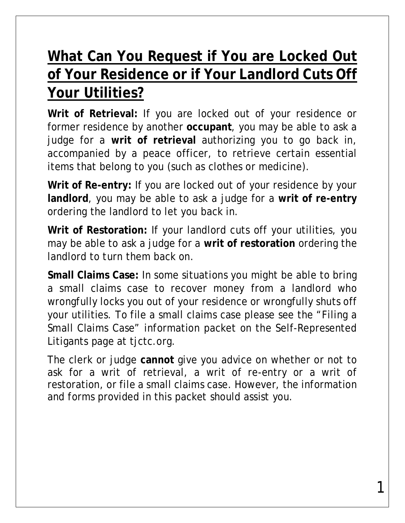### **What Can You Request if You are Locked Out of Your Residence or if Your Landlord Cuts Off Your Utilities?**

**Writ of Retrieval:** If you are locked out of your residence or former residence by another **occupant**, you may be able to ask a judge for a **writ of retrieval** authorizing you to go back in, accompanied by a peace officer, to retrieve certain essential items that belong to you (such as clothes or medicine).

**Writ of Re-entry:** If you are locked out of your residence by your **landlord**, you may be able to ask a judge for a **writ of re-entry**  ordering the landlord to let you back in.

**Writ of Restoration:** If your landlord cuts off your utilities, you may be able to ask a judge for a **writ of restoration** ordering the landlord to turn them back on.

**Small Claims Case:** In some situations you might be able to bring a small claims case to recover money from a landlord who wrongfully locks you out of your residence or wrongfully shuts off your utilities. To file a small claims case please see the "Filing a Small Claims Case" information packet on the Self-Represented Litigants page at tjctc.org.

The clerk or judge **cannot** give you advice on whether or not to ask for a writ of retrieval, a writ of re-entry or a writ of restoration, or file a small claims case. However, the information and forms provided in this packet should assist you.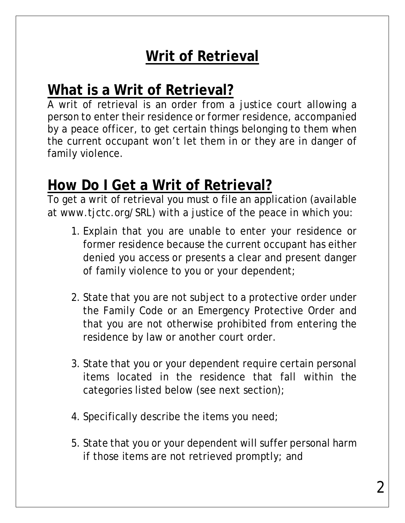## **Writ of Retrieval**

#### **What is a Writ of Retrieval?**

A writ of retrieval is an order from a justice court allowing a person to enter their residence or former residence, accompanied by a peace officer, to get certain things belonging to them when the current occupant won't let them in or they are in danger of family violence.

#### **How Do I Get a Writ of Retrieval?**

To get a writ of retrieval you must o file an application (available at www.tjctc.org/SRL) with a justice of the peace in which you:

- 1. Explain that you are unable to enter your residence or former residence because the current occupant has either denied you access or presents a clear and present danger of family violence to you or your dependent;
- 2. State that you are not subject to a protective order under the Family Code or an Emergency Protective Order and that you are not otherwise prohibited from entering the residence by law or another court order.
- 3. State that you or your dependent require certain personal items located in the residence that fall within the categories listed below (see next section);
- 4. Specifically describe the items you need;
- 5. State that you or your dependent will suffer personal harm if those items are not retrieved promptly; and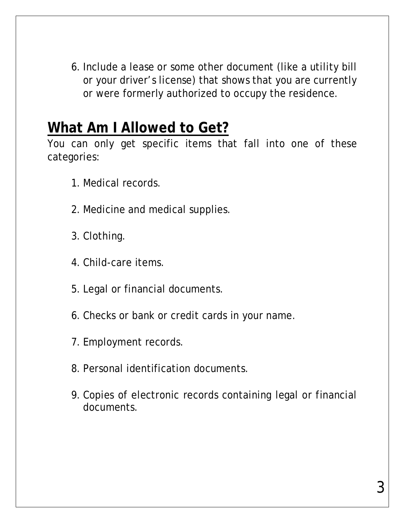6. Include a lease or some other document (like a utility bill or your driver's license) that shows that you are currently or were formerly authorized to occupy the residence.

#### **What Am I Allowed to Get?**

You can only get specific items that fall into one of these categories:

- 1. Medical records.
- 2. Medicine and medical supplies.
- 3. Clothing.
- 4. Child-care items.
- 5. Legal or financial documents.
- 6. Checks or bank or credit cards in your name.
- 7. Employment records.
- 8. Personal identification documents.
- 9. Copies of electronic records containing legal or financial documents.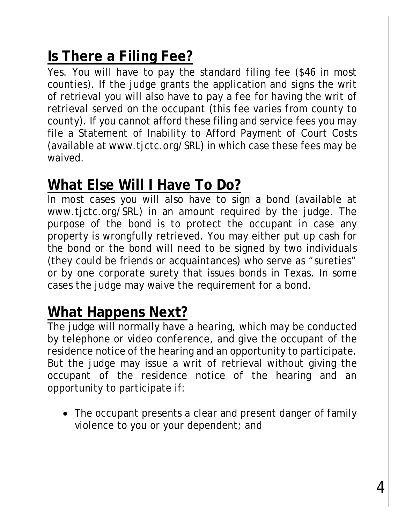## **Is There a Filing Fee?**

Yes. You will have to pay the standard filing fee (\$46 in most counties). If the judge grants the application and signs the writ of retrieval you will also have to pay a fee for having the writ of retrieval served on the occupant (this fee varies from county to county). If you cannot afford these filing and service fees you may file a Statement of Inability to Afford Payment of Court Costs (available at www.tjctc.org/SRL) in which case these fees may be waived.

#### **What Else Will I Have To Do?**

In most cases you will also have to sign a bond (available at www.tjctc.org/SRL) in an amount required by the judge. The purpose of the bond is to protect the occupant in case any property is wrongfully retrieved. You may either put up cash for the bond or the bond will need to be signed by two individuals (they could be friends or acquaintances) who serve as "sureties" or by one corporate surety that issues bonds in Texas. In some cases the judge may waive the requirement for a bond.

#### **What Happens Next?**

The judge will normally have a hearing, which may be conducted by telephone or video conference, and give the occupant of the residence notice of the hearing and an opportunity to participate. But the judge may issue a writ of retrieval without giving the occupant of the residence notice of the hearing and an opportunity to participate if:

• The occupant presents a clear and present danger of family violence to you or your dependent; and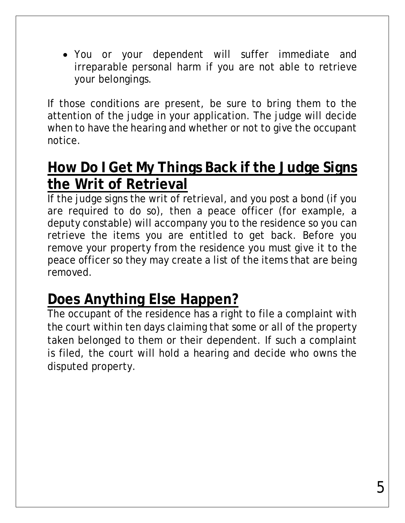You or your dependent will suffer immediate and irreparable personal harm if you are not able to retrieve your belongings.

If those conditions are present, be sure to bring them to the attention of the judge in your application. The judge will decide when to have the hearing and whether or not to give the occupant notice.

#### **How Do I Get My Things Back if the Judge Signs the Writ of Retrieval**

If the judge signs the writ of retrieval, and you post a bond (if you are required to do so), then a peace officer (for example, a deputy constable) will accompany you to the residence so you can retrieve the items you are entitled to get back. Before you remove your property from the residence you must give it to the peace officer so they may create a list of the items that are being removed.

#### **Does Anything Else Happen?**

The occupant of the residence has a right to file a complaint with the court within ten days claiming that some or all of the property taken belonged to them or their dependent. If such a complaint is filed, the court will hold a hearing and decide who owns the disputed property.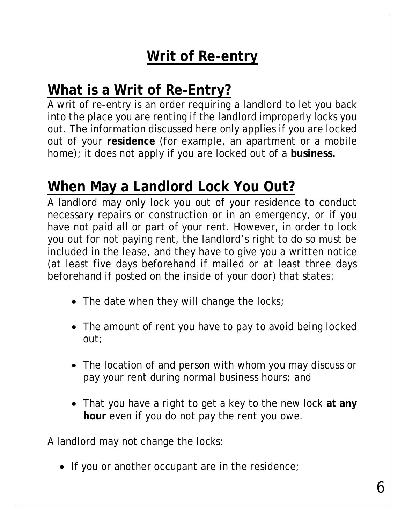## **Writ of Re-entry**

#### **What is a Writ of Re-Entry?**

A writ of re-entry is an order requiring a landlord to let you back into the place you are renting if the landlord improperly locks you out. The information discussed here only applies if you are locked out of your **residence** (for example, an apartment or a mobile home); it does not apply if you are locked out of a **business.**

#### **When May a Landlord Lock You Out?**

A landlord may only lock you out of your residence to conduct necessary repairs or construction or in an emergency, or if you have not paid all or part of your rent. However, in order to lock you out for not paying rent, the landlord's right to do so must be included in the lease, and they have to give you a written notice (at least five days beforehand if mailed or at least three days beforehand if posted on the inside of your door) that states:

- The date when they will change the locks;
- The amount of rent you have to pay to avoid being locked out;
- The location of and person with whom you may discuss or pay your rent during normal business hours; and
- That you have a right to get a key to the new lock **at any hour** even if you do not pay the rent you owe.

A landlord may not change the locks:

• If you or another occupant are in the residence;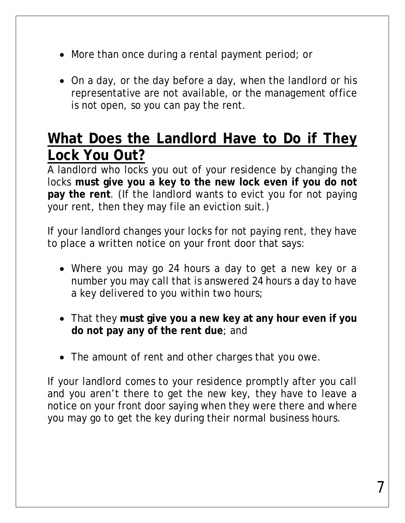- More than once during a rental payment period; or
- On a day, or the day before a day, when the landlord or his representative are not available, or the management office is not open, so you can pay the rent.

#### **What Does the Landlord Have to Do if They Lock You Out?**

A landlord who locks you out of your residence by changing the locks **must give you a key to the new lock even if you do not pay the rent**. (If the landlord wants to evict you for not paying your rent, then they may file an eviction suit.)

If your landlord changes your locks for not paying rent, they have to place a written notice on your front door that says:

- Where you may go 24 hours a day to get a new key or a number you may call that is answered 24 hours a day to have a key delivered to you within two hours;
- That they **must give you a new key at any hour even if you do not pay any of the rent due**; and
- The amount of rent and other charges that you owe.

If your landlord comes to your residence promptly after you call and you aren't there to get the new key, they have to leave a notice on your front door saying when they were there and where you may go to get the key during their normal business hours.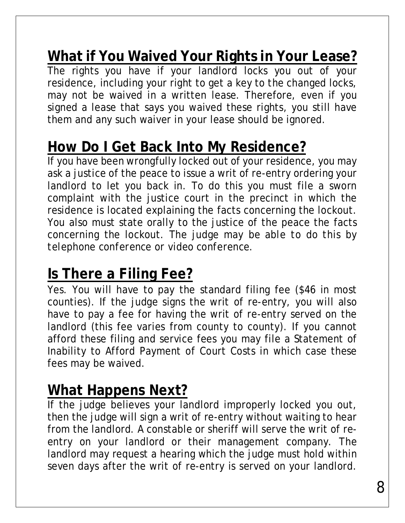#### **What if You Waived Your Rights in Your Lease?**

The rights you have if your landlord locks you out of your residence, including your right to get a key to the changed locks, may not be waived in a written lease. Therefore, even if you signed a lease that says you waived these rights, you still have them and any such waiver in your lease should be ignored.

#### **How Do I Get Back Into My Residence?**

If you have been wrongfully locked out of your residence, you may ask a justice of the peace to issue a writ of re-entry ordering your landlord to let you back in. To do this you must file a sworn complaint with the justice court in the precinct in which the residence is located explaining the facts concerning the lockout. You also must state orally to the justice of the peace the facts concerning the lockout. *The judge may be able to do this by telephone conference or video conference.*

#### **Is There a Filing Fee?**

Yes. You will have to pay the standard filing fee (\$46 in most counties). If the judge signs the writ of re-entry, you will also have to pay a fee for having the writ of re-entry served on the landlord (this fee varies from county to county). If you cannot afford these filing and service fees you may file a Statement of Inability to Afford Payment of Court Costs in which case these fees may be waived.

#### **What Happens Next?**

If the judge believes your landlord improperly locked you out, then the judge will sign a writ of re-entry without waiting to hear from the landlord. A constable or sheriff will serve the writ of reentry on your landlord or their management company. The landlord may request a hearing which the judge must hold within seven days after the writ of re-entry is served on your landlord.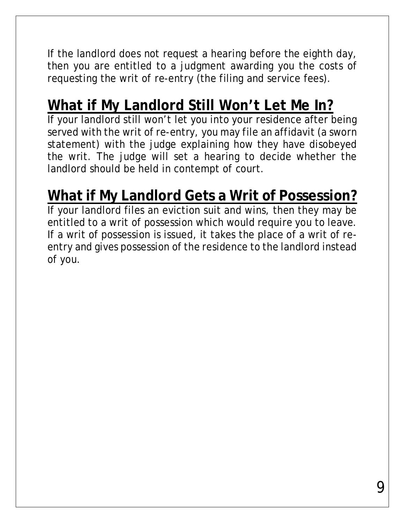If the landlord does not request a hearing before the eighth day, then you are entitled to a judgment awarding you the costs of requesting the writ of re-entry (the filing and service fees).

## **What if My Landlord Still Won't Let Me In?**

If your landlord still won't let you into your residence after being served with the writ of re-entry, you may file an affidavit (a sworn statement) with the judge explaining how they have disobeyed the writ. The judge will set a hearing to decide whether the landlord should be held in contempt of court.

## **What if My Landlord Gets a Writ of Possession?**

If your landlord files an eviction suit and wins, then they may be entitled to a writ of possession which would require you to leave. If a writ of possession is issued, it takes the place of a writ of reentry and gives possession of the residence to the landlord instead of you.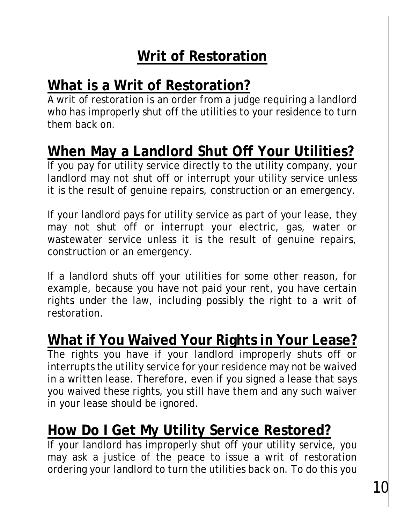## **Writ of Restoration**

## **What is a Writ of Restoration?**

A writ of restoration is an order from a judge requiring a landlord who has improperly shut off the utilities to your residence to turn them back on.

## **When May a Landlord Shut Off Your Utilities?**

If you pay for utility service directly to the utility company, your landlord may not shut off or interrupt your utility service unless it is the result of genuine repairs, construction or an emergency.

If your landlord pays for utility service as part of your lease, they may not shut off or interrupt your electric, gas, water or wastewater service unless it is the result of genuine repairs, construction or an emergency.

If a landlord shuts off your utilities for some other reason, for example, because you have not paid your rent, you have certain rights under the law, including possibly the right to a writ of restoration.

#### **What if You Waived Your Rights in Your Lease?**

The rights you have if your landlord improperly shuts off or interrupts the utility service for your residence may not be waived in a written lease. Therefore, even if you signed a lease that says you waived these rights, you still have them and any such waiver in your lease should be ignored.

## **How Do I Get My Utility Service Restored?**

If your landlord has improperly shut off your utility service, you may ask a justice of the peace to issue a writ of restoration ordering your landlord to turn the utilities back on. To do this you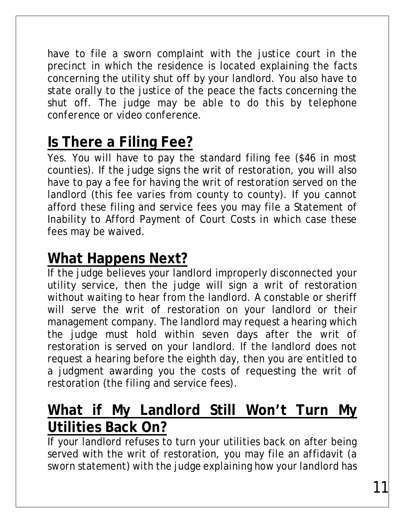have to file a sworn complaint with the justice court in the precinct in which the residence is located explaining the facts concerning the utility shut off by your landlord. You also have to state orally to the justice of the peace the facts concerning the shut off. *The judge may be able to do this by telephone conference or video conference.*

## **Is There a Filing Fee?**

Yes. You will have to pay the standard filing fee (\$46 in most counties). If the judge signs the writ of restoration, you will also have to pay a fee for having the writ of restoration served on the landlord (this fee varies from county to county). If you cannot afford these filing and service fees you may file a Statement of Inability to Afford Payment of Court Costs in which case these fees may be waived.

#### **What Happens Next?**

If the judge believes your landlord improperly disconnected your utility service, then the judge will sign a writ of restoration without waiting to hear from the landlord. A constable or sheriff will serve the writ of restoration on your landlord or their management company. The landlord may request a hearing which the judge must hold within seven days after the writ of restoration is served on your landlord. If the landlord does not request a hearing before the eighth day, then you are entitled to a judgment awarding you the costs of requesting the writ of restoration (the filing and service fees).

## **What if My Landlord Still Won't Turn My Utilities Back On?**

If your landlord refuses to turn your utilities back on after being served with the writ of restoration, you may file an affidavit (a sworn statement) with the judge explaining how your landlord has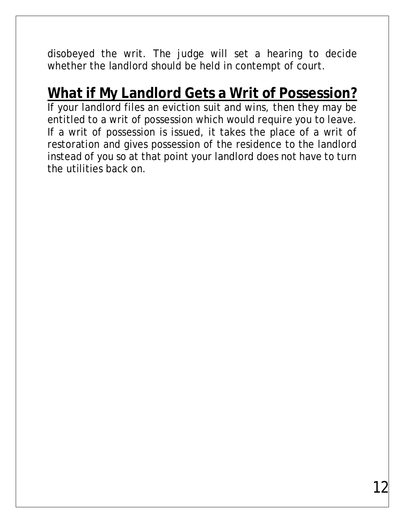disobeyed the writ. The judge will set a hearing to decide whether the landlord should be held in contempt of court.

## **What if My Landlord Gets a Writ of Possession?**

If your landlord files an eviction suit and wins, then they may be entitled to a writ of possession which would require you to leave. If a writ of possession is issued, it takes the place of a writ of restoration and gives possession of the residence to the landlord instead of you so at that point your landlord does not have to turn the utilities back on.